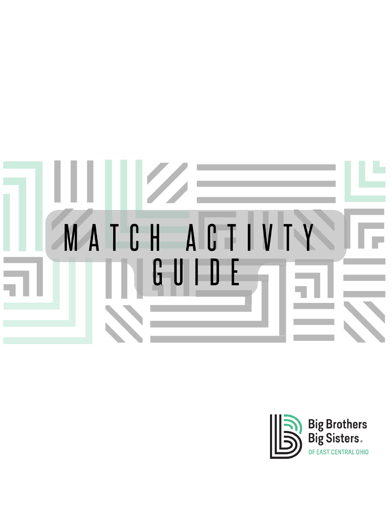

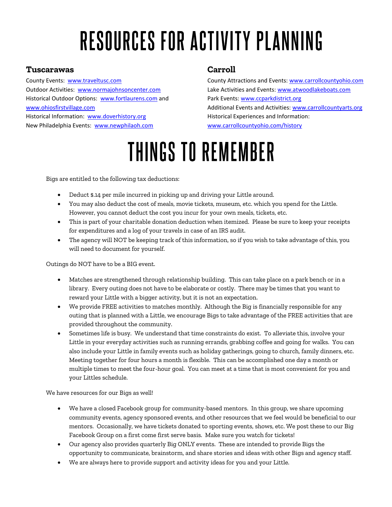# RESOURCES FOR ACTIVITY PLANNING

#### **Tuscarawas**

County Events: [www.traveltusc.com](http://www.traveltusc.com/) Outdoor Activities: [www.normajohnsoncenter.com](http://www.normajohnsoncenter.com/) Historical Outdoor Options: [www.fortlaurens.com](http://www.fortlaurens.com/) and [www.ohiosfirstvillage.com](http://www.ohiosfirstvillage.com/) Historical Information: www.doverhistory.org New Philadelphia Events: [www.newphilaoh.com](http://www.newphilaoh.com/)

#### **Carroll**

County Attractions and Events: [www.carrollcountyohio.com](http://www.carrollcountyohio.com/) Lake Activities and Events[: www.atwoodlakeboats.com](http://www.atwoodlakeboats.com/) Park Events: [www.ccparkdistrict.org](http://www.ccparkdistrict.org/) Additional Events and Activities[: www.carrollcountyarts.org](http://www.carrollcountyarts.org/) Historical Experiences and Information: [www.carrollcountyohio.com/history](http://www.carrollcountyohio.com/history)

## THINGS TO REMEMBER

Bigs are entitled to the following tax deductions:

- Deduct \$.14 per mile incurred in picking up and driving your Little around.
- You may also deduct the cost of meals, movie tickets, museum, etc. which you spend for the Little. However, you cannot deduct the cost you incur for your own meals, tickets, etc.
- This is part of your charitable donation deduction when itemized. Please be sure to keep your receipts for expenditures and a log of your travels in case of an IRS audit.
- The agency will NOT be keeping track of this information, so if you wish to take advantage of this, you will need to document for yourself.

Outings do NOT have to be a BIG event.

- Matches are strengthened through relationship building. This can take place on a park bench or in a library. Every outing does not have to be elaborate or costly. There may be times that you want to reward your Little with a bigger activity, but it is not an expectation.
- We provide FREE activities to matches monthly. Although the Big is financially responsible for any outing that is planned with a Little, we encourage Bigs to take advantage of the FREE activities that are provided throughout the community.
- Sometimes life is busy. We understand that time constraints do exist. To alleviate this, involve your Little in your everyday activities such as running errands, grabbing coffee and going for walks. You can also include your Little in family events such as holiday gatherings, going to church, family dinners, etc. Meeting together for four hours a month is flexible. This can be accomplished one day a month or multiple times to meet the four-hour goal. You can meet at a time that is most convenient for you and your Littles schedule.

We have resources for our Bigs as well!

- We have a closed Facebook group for community-based mentors. In this group, we share upcoming community events, agency sponsored events, and other resources that we feel would be beneficial to our mentors. Occasionally, we have tickets donated to sporting events, shows, etc. We post these to our Big Facebook Group on a first come first serve basis. Make sure you watch for tickets!
- Our agency also provides quarterly Big ONLY events. These are intended to provide Bigs the opportunity to communicate, brainstorm, and share stories and ideas with other Bigs and agency staff.
- We are always here to provide support and activity ideas for you and your Little.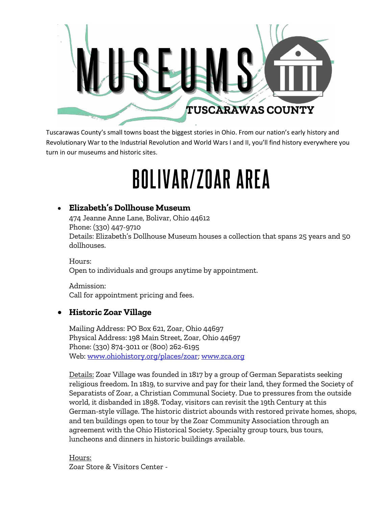

Tuscarawas County's small towns boast the biggest stories in Ohio. From our nation's early history and Revolutionary War to the Industrial Revolution and World Wars I and II, you'll find history everywhere you turn in our museums and historic sites.

# BOLIVAR/ZOAR AREA

#### • **Elizabeth's Dollhouse Museum**

474 Jeanne Anne Lane, Bolivar, Ohio 44612 Phone: (330) 447-9710 Details: Elizabeth's Dollhouse Museum houses a collection that spans 25 years and 50 dollhouses.

Hours: Open to individuals and groups anytime by appointment.

Admission: Call for appointment pricing and fees.

#### • **Historic Zoar Village**

Mailing Address: PO Box 621, Zoar, Ohio 44697 Physical Address: 198 Main Street, Zoar, Ohio 44697 Phone: (330) 874-3011 or (800) 262-6195 Web: [www.ohiohistory.org/places/zoar;](http://www.ohiohistory.org/places/zoar) [www.zca.org](http://www.zca.org/)

Details: Zoar Village was founded in 1817 by a group of German Separatists seeking religious freedom. In 1819, to survive and pay for their land, they formed the Society of Separatists of Zoar, a Christian Communal Society. Due to pressures from the outside world, it disbanded in 1898. Today, visitors can revisit the 19th Century at this German-style village. The historic district abounds with restored private homes, shops, and ten buildings open to tour by the Zoar Community Association through an agreement with the Ohio Historical Society. Specialty group tours, bus tours, luncheons and dinners in historic buildings available.

Hours: Zoar Store & Visitors Center -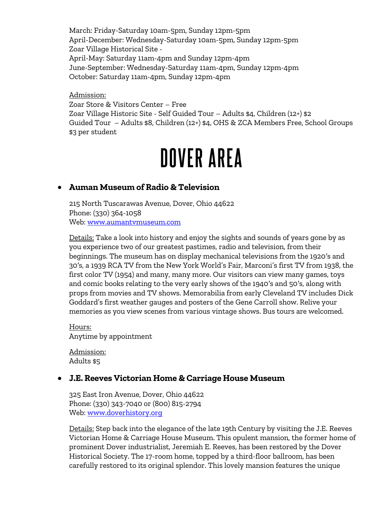March: Friday-Saturday 10am-5pm, Sunday 12pm-5pm April-December: Wednesday-Saturday 10am-5pm, Sunday 12pm-5pm Zoar Village Historical Site - April-May: Saturday 11am-4pm and Sunday 12pm-4pm June-September: Wednesday-Saturday 11am-4pm, Sunday 12pm-4pm October: Saturday 11am-4pm, Sunday 12pm-4pm

Admission: Zoar Store & Visitors Center – Free Zoar Village Historic Site - Self Guided Tour – Adults \$4, Children (12+) \$2 Guided Tour – Adults \$8, Children (12+) \$4, OHS & ZCA Members Free, School Groups \$3 per student

## **DOVER AREA**

#### • **Auman Museum of Radio & Television**

215 North Tuscarawas Avenue, Dover, Ohio 44622 Phone: (330) 364-1058 Web: [www.aumantvmuseum.com](http://www.aumantvmuseum.com/)

Details: Take a look into history and enjoy the sights and sounds of years gone by as you experience two of our greatest pastimes, radio and television, from their beginnings. The museum has on display mechanical televisions from the 1920′s and 30′s, a 1939 RCA TV from the New York World's Fair, Marconi's first TV from 1938, the first color TV (1954) and many, many more. Our visitors can view many games, toys and comic books relating to the very early shows of the 1940′s and 50′s, along with props from movies and TV shows. Memorabilia from early Cleveland TV includes Dick Goddard's first weather gauges and posters of the Gene Carroll show. Relive your memories as you view scenes from various vintage shows. Bus tours are welcomed.

Hours: Anytime by appointment

Admission: Adults \$5

#### • **J.E. Reeves Victorian Home & Carriage House Museum**

325 East Iron Avenue, Dover, Ohio 44622 Phone: (330) 343-7040 or (800) 815-2794 Web: [www.doverhistory.org](http://www.doverhistory.org/)

Details: Step back into the elegance of the late 19th Century by visiting the J.E. Reeves Victorian Home & Carriage House Museum. This opulent mansion, the former home of prominent Dover industrialist, Jeremiah E. Reeves, has been restored by the Dover Historical Society. The 17-room home, topped by a third-floor ballroom, has been carefully restored to its original splendor. This lovely mansion features the unique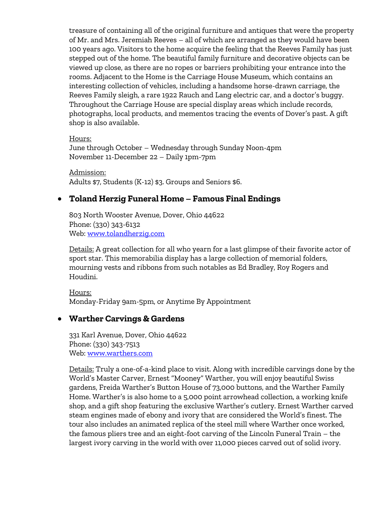treasure of containing all of the original furniture and antiques that were the property of Mr. and Mrs. Jeremiah Reeves – all of which are arranged as they would have been 100 years ago. Visitors to the home acquire the feeling that the Reeves Family has just stepped out of the home. The beautiful family furniture and decorative objects can be viewed up close, as there are no ropes or barriers prohibiting your entrance into the rooms. Adjacent to the Home is the Carriage House Museum, which contains an interesting collection of vehicles, including a handsome horse-drawn carriage, the Reeves Family sleigh, a rare 1922 Rauch and Lang electric car, and a doctor's buggy. Throughout the Carriage House are special display areas which include records, photographs, local products, and mementos tracing the events of Dover's past. A gift shop is also available.

Hours:

June through October – Wednesday through Sunday Noon-4pm November 11-December 22 – Daily 1pm-7pm

Admission: Adults \$7, Students (K-12) \$3. Groups and Seniors \$6.

#### • **Toland Herzig Funeral Home – Famous Final Endings**

803 North Wooster Avenue, Dover, Ohio 44622 Phone: (330) 343-6132 Web: [www.tolandherzig.com](http://www.tolandherzig.com/)

Details: A great collection for all who yearn for a last glimpse of their favorite actor of sport star. This memorabilia display has a large collection of memorial folders, mourning vests and ribbons from such notables as Ed Bradley, Roy Rogers and Houdini.

Hours: Monday-Friday 9am-5pm, or Anytime By Appointment

#### • **Warther Carvings & Gardens**

331 Karl Avenue, Dover, Ohio 44622 Phone: (330) 343-7513 Web: [www.warthers.com](http://www.warthers.com/)

Details: Truly a one-of-a-kind place to visit. Along with incredible carvings done by the World's Master Carver, Ernest "Mooney" Warther, you will enjoy beautiful Swiss gardens, Freida Warther's Button House of 73,000 buttons, and the Warther Family Home. Warther's is also home to a 5,000 point arrowhead collection, a working knife shop, and a gift shop featuring the exclusive Warther's cutlery. Ernest Warther carved steam engines made of ebony and ivory that are considered the World's finest. The tour also includes an animated replica of the steel mill where Warther once worked, the famous pliers tree and an eight-foot carving of the Lincoln Funeral Train – the largest ivory carving in the world with over 11,000 pieces carved out of solid ivory.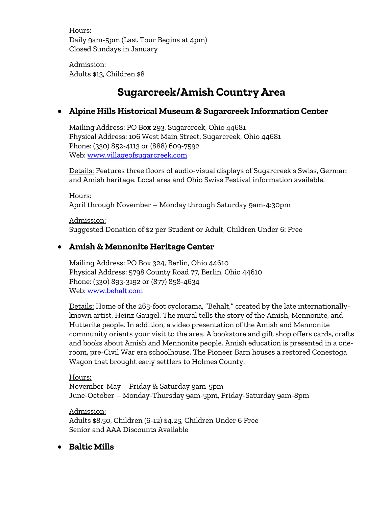Hours: Daily 9am-5pm (Last Tour Begins at 4pm) Closed Sundays in January

Admission: Adults \$13, Children \$8

## **Sugarcreek/Amish Country Area**

#### • **Alpine Hills Historical Museum & Sugarcreek Information Center**

Mailing Address: PO Box 293, Sugarcreek, Ohio 44681 Physical Address: 106 West Main Street, Sugarcreek, Ohio 44681 Phone: (330) 852-4113 or (888) 609-7592 Web: [www.villageofsugarcreek.com](http://traveltusc.com/what-to-do/museums-and-historic-sites/www.villageofsugarcreek.com)

Details: Features three floors of audio-visual displays of Sugarcreek's Swiss, German and Amish heritage. Local area and Ohio Swiss Festival information available.

Hours: April through November – Monday through Saturday 9am-4:30pm

Admission: Suggested Donation of \$2 per Student or Adult, Children Under 6: Free

#### • **Amish & Mennonite Heritage Center**

Mailing Address: PO Box 324, Berlin, Ohio 44610 Physical Address: 5798 County Road 77, Berlin, Ohio 44610 Phone: (330) 893-3192 or (877) 858-4634 Web: [www.behalt.com](http://www.behalt.com/)

Details: Home of the 265-foot cyclorama, "Behalt," created by the late internationallyknown artist, Heinz Gaugel. The mural tells the story of the Amish, Mennonite, and Hutterite people. In addition, a video presentation of the Amish and Mennonite community orients your visit to the area. A bookstore and gift shop offers cards, crafts and books about Amish and Mennonite people. Amish education is presented in a oneroom, pre-Civil War era schoolhouse. The Pioneer Barn houses a restored Conestoga Wagon that brought early settlers to Holmes County.

Hours: November-May – Friday & Saturday 9am-5pm June-October – Monday-Thursday 9am-5pm, Friday-Saturday 9am-8pm

Admission: Adults \$8.50, Children (6-12) \$4.25, Children Under 6 Free Senior and AAA Discounts Available

• **Baltic Mills**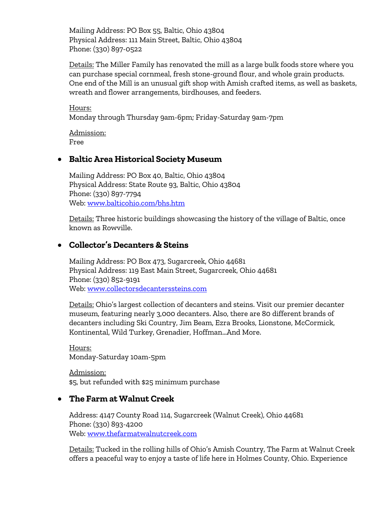Mailing Address: PO Box 55, Baltic, Ohio 43804 Physical Address: 111 Main Street, Baltic, Ohio 43804 Phone: (330) 897-0522

Details: The Miller Family has renovated the mill as a large bulk foods store where you can purchase special cornmeal, fresh stone-ground flour, and whole grain products. One end of the Mill is an unusual gift shop with Amish crafted items, as well as baskets, wreath and flower arrangements, birdhouses, and feeders.

Hours: Monday through Thursday 9am-6pm; Friday-Saturday 9am-7pm

Admission: Free

#### • **Baltic Area Historical Society Museum**

Mailing Address: PO Box 40, Baltic, Ohio 43804 Physical Address: State Route 93, Baltic, Ohio 43804 Phone: (330) 897-7794 Web: [www.balticohio.com/bhs.htm](http://www.balticohio.com/bhs.htm)

Details: Three historic buildings showcasing the history of the village of Baltic, once known as Rowville.

#### • **Collector's Decanters & Steins**

Mailing Address: PO Box 473, Sugarcreek, Ohio 44681 Physical Address: 119 East Main Street, Sugarcreek, Ohio 44681 Phone: (330) 852-9191 Web: [www.collectorsdecanterssteins.com](http://www.collectorsdecanterssteins.com/)

Details: Ohio's largest collection of decanters and steins. Visit our premier decanter museum, featuring nearly 3,000 decanters. Also, there are 80 different brands of decanters including Ski Country, Jim Beam, Ezra Brooks, Lionstone, McCormick, Kontinental, Wild Turkey, Grenadier, Hoffman…And More.

Hours: Monday-Saturday 10am-5pm

Admission: \$5, but refunded with \$25 minimum purchase

#### • **The Farm at Walnut Creek**

Address: 4147 County Road 114, Sugarcreek (Walnut Creek), Ohio 44681 Phone: (330) 893-4200 Web: [www.thefarmatwalnutcreek.com](http://www.thefarmatwalnutcreek.com/)

Details: Tucked in the rolling hills of Ohio's Amish Country, The Farm at Walnut Creek offers a peaceful way to enjoy a taste of life here in Holmes County, Ohio. Experience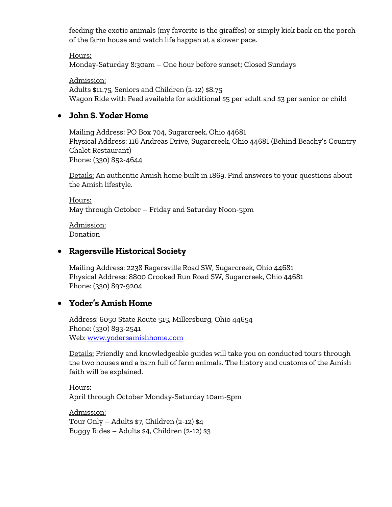feeding the exotic animals (my favorite is the giraffes) or simply kick back on the porch of the farm house and watch life happen at a slower pace.

Hours: Monday-Saturday 8:30am – One hour before sunset; Closed Sundays

Admission: Adults \$11.75, Seniors and Children (2-12) \$8.75 Wagon Ride with Feed available for additional \$5 per adult and \$3 per senior or child

#### • **John S. Yoder Home**

Mailing Address: PO Box 704, Sugarcreek, Ohio 44681 Physical Address: 116 Andreas Drive, Sugarcreek, Ohio 44681 (Behind Beachy's Country Chalet Restaurant) Phone: (330) 852-4644

Details: An authentic Amish home built in 1869. Find answers to your questions about the Amish lifestyle.

Hours: May through October – Friday and Saturday Noon-5pm

Admission: Donation

#### • **Ragersville Historical Society**

Mailing Address: 2238 Ragersville Road SW, Sugarcreek, Ohio 44681 Physical Address: 8800 Crooked Run Road SW, Sugarcreek, Ohio 44681 Phone: (330) 897-9204

#### • **Yoder's Amish Home**

Address: 6050 State Route 515, Millersburg, Ohio 44654 Phone: (330) 893-2541 Web: [www.yodersamishhome.com](http://www.yodersamishhome.com/)

Details: Friendly and knowledgeable guides will take you on conducted tours through the two houses and a barn full of farm animals. The history and customs of the Amish faith will be explained.

Hours: April through October Monday-Saturday 10am-5pm

Admission: Tour Only – Adults \$7, Children (2-12) \$4 Buggy Rides – Adults \$4, Children (2-12) \$3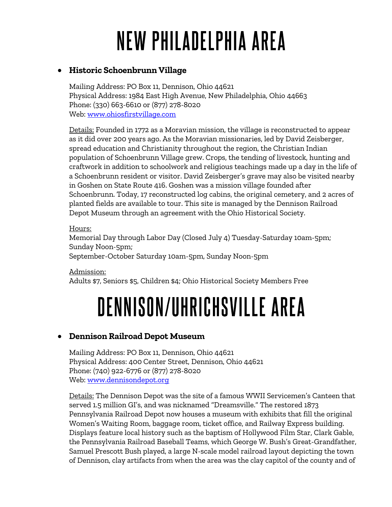# **NEW PHILADELPHIA AREA**

#### • **Historic Schoenbrunn Village**

Mailing Address: PO Box 11, Dennison, Ohio 44621 Physical Address: 1984 East High Avenue, New Philadelphia, Ohio 44663 Phone: (330) 663-6610 or (877) 278-8020 Web: [www.ohiosfirstvillage.com](http://www.ohiosfirstvillage.com/)

Details: Founded in 1772 as a Moravian mission, the village is reconstructed to appear as it did over 200 years ago. As the Moravian missionaries, led by David Zeisberger, spread education and Christianity throughout the region, the Christian Indian population of Schoenbrunn Village grew. Crops, the tending of livestock, hunting and craftwork in addition to schoolwork and religious teachings made up a day in the life of a Schoenbrunn resident or visitor. David Zeisberger's grave may also be visited nearby in Goshen on State Route 416. Goshen was a mission village founded after Schoenbrunn. Today, 17 reconstructed log cabins, the original cemetery, and 2 acres of planted fields are available to tour. This site is managed by the Dennison Railroad Depot Museum through an agreement with the Ohio Historical Society.

#### Hours:

Memorial Day through Labor Day (Closed July 4) Tuesday-Saturday 10am-5pm; Sunday Noon-5pm;

September-October Saturday 10am-5pm, Sunday Noon-5pm

Admission: Adults \$7, Seniors \$5, Children \$4; Ohio Historical Society Members Free

## **DENNISON/UHRICHSVILLE AREA**

### • **Dennison Railroad Depot Museum**

Mailing Address: PO Box 11, Dennison, Ohio 44621 Physical Address: 400 Center Street, Dennison, Ohio 44621 Phone: (740) 922-6776 or (877) 278-8020 Web: [www.dennisondepot.org](http://www.dennisondepot.org/)

Details: The Dennison Depot was the site of a famous WWII Servicemen's Canteen that served 1.5 million GI's, and was nicknamed "Dreamsville." The restored 1873 Pennsylvania Railroad Depot now houses a museum with exhibits that fill the original Women's Waiting Room, baggage room, ticket office, and Railway Express building. Displays feature local history such as the baptism of Hollywood Film Star, Clark Gable, the Pennsylvania Railroad Baseball Teams, which George W. Bush's Great-Grandfather, Samuel Prescott Bush played, a large N-scale model railroad layout depicting the town of Dennison, clay artifacts from when the area was the clay capitol of the county and of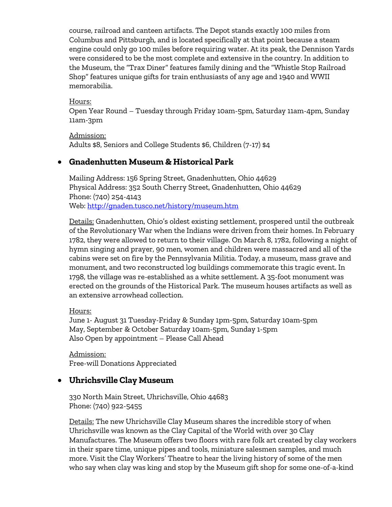course, railroad and canteen artifacts. The Depot stands exactly 100 miles from Columbus and Pittsburgh, and is located specifically at that point because a steam engine could only go 100 miles before requiring water. At its peak, the Dennison Yards were considered to be the most complete and extensive in the country. In addition to the Museum, the "Trax Diner" features family dining and the "Whistle Stop Railroad Shop" features unique gifts for train enthusiasts of any age and 1940 and WWII memorabilia.

Hours: Open Year Round – Tuesday through Friday 10am-5pm, Saturday 11am-4pm, Sunday 11am-3pm

Admission: Adults \$8, Seniors and College Students \$6, Children (7-17) \$4

#### • **Gnadenhutten Museum & Historical Park**

Mailing Address: 156 Spring Street, Gnadenhutten, Ohio 44629 Physical Address: 352 South Cherry Street, Gnadenhutten, Ohio 44629 Phone: (740) 254-4143 Web:<http://gnaden.tusco.net/history/museum.htm>

Details: Gnadenhutten, Ohio's oldest existing settlement, prospered until the outbreak of the Revolutionary War when the Indians were driven from their homes. In February 1782, they were allowed to return to their village. On March 8, 1782, following a night of hymn singing and prayer, 90 men, women and children were massacred and all of the cabins were set on fire by the Pennsylvania Militia. Today, a museum, mass grave and monument, and two reconstructed log buildings commemorate this tragic event. In 1798, the village was re-established as a white settlement. A 35-foot monument was erected on the grounds of the Historical Park. The museum houses artifacts as well as an extensive arrowhead collection.

Hours:

June 1- August 31 Tuesday-Friday & Sunday 1pm-5pm, Saturday 10am-5pm May, September & October Saturday 10am-5pm, Sunday 1-5pm Also Open by appointment – Please Call Ahead

Admission: Free-will Donations Appreciated

#### • **Uhrichsville Clay Museum**

330 North Main Street, Uhrichsville, Ohio 44683 Phone: (740) 922-5455

Details: The new Uhrichsville Clay Museum shares the incredible story of when Uhrichsville was known as the Clay Capital of the World with over 30 Clay Manufactures. The Museum offers two floors with rare folk art created by clay workers in their spare time, unique pipes and tools, miniature salesmen samples, and much more. Visit the Clay Workers' Theatre to hear the living history of some of the men who say when clay was king and stop by the Museum gift shop for some one-of-a-kind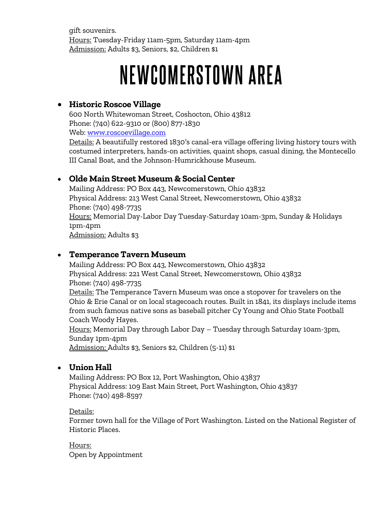gift souvenirs. Hours: Tuesday-Friday 11am-5pm, Saturday 11am-4pm Admission: Adults \$3, Seniors, \$2, Children \$1

## NEWCOMERSTOWN AREA

#### • **Historic Roscoe Village**

600 North Whitewoman Street, Coshocton, Ohio 43812 Phone: (740) 622-9310 or (800) 877-1830 Web: [www.roscoevillage.com](http://www.roscoevillage.com/) 

Details: A beautifully restored 1830′s canal-era village offering living history tours with costumed interpreters, hands-on activities, quaint shops, casual dining, the Montecello III Canal Boat, and the Johnson-Humrickhouse Museum.

#### • **Olde Main Street Museum & Social Center**

Mailing Address: PO Box 443, Newcomerstown, Ohio 43832 Physical Address: 213 West Canal Street, Newcomerstown, Ohio 43832 Phone: (740) 498-7735 Hours: Memorial Day-Labor Day Tuesday-Saturday 10am-3pm, Sunday & Holidays 1pm-4pm Admission: Adults \$3

#### • **Temperance Tavern Museum**

Mailing Address: PO Box 443, Newcomerstown, Ohio 43832 Physical Address: 221 West Canal Street, Newcomerstown, Ohio 43832 Phone: (740) 498-7735 Details: The Temperance Tavern Museum was once a stopover for travelers on the Ohio & Erie Canal or on local stagecoach routes. Built in 1841, its displays include items from such famous native sons as baseball pitcher Cy Young and Ohio State Football Coach Woody Hayes. Hours: Memorial Day through Labor Day – Tuesday through Saturday 10am-3pm, Sunday 1pm-4pm

Admission: Adults \$3, Seniors \$2, Children (5-11) \$1

#### • **Union Hall**

Mailing Address: PO Box 12, Port Washington, Ohio 43837 Physical Address: 109 East Main Street, Port Washington, Ohio 43837 Phone: (740) 498-8597

#### Details:

Former town hall for the Village of Port Washington. Listed on the National Register of Historic Places.

Hours: Open by Appointment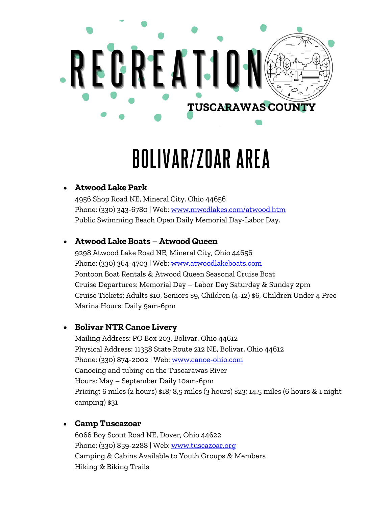

# **BOLIVAR/ZOAR AREA**

## • **Atwood Lake Park**

4956 Shop Road NE, Mineral City, Ohio 44656 Phone: (330) 343-6780 | Web: [www.mwcdlakes.com/atwood.htm](http://www.mwcdlakes.com/atwood.htm) Public Swimming Beach Open Daily Memorial Day-Labor Day.

#### • **Atwood Lake Boats – Atwood Queen**

9298 Atwood Lake Road NE, Mineral City, Ohio 44656 Phone: (330) 364-4703 | Web: [www.atwoodlakeboats.com](http://www.atwoodlakeboats.com/) Pontoon Boat Rentals & Atwood Queen Seasonal Cruise Boat Cruise Departures: Memorial Day – Labor Day Saturday & Sunday 2pm Cruise Tickets: Adults \$10, Seniors \$9, Children (4-12) \$6, Children Under 4 Free Marina Hours: Daily 9am-6pm

### • **Bolivar NTR Canoe Livery**

Mailing Address: PO Box 203, Bolivar, Ohio 44612 Physical Address: 11358 State Route 212 NE, Bolivar, Ohio 44612 Phone: (330) 874-2002 | Web: [www.canoe-ohio.com](http://www.canoe-ohio.com/) Canoeing and tubing on the Tuscarawas River Hours: May – September Daily 10am-6pm Pricing: 6 miles (2 hours) \$18; 8,5 miles (3 hours) \$23; 14.5 miles (6 hours & 1 night camping) \$31

#### • **Camp Tuscazoar**

6066 Boy Scout Road NE, Dover, Ohio 44622 Phone: (330) 859-2288 | Web: www.tuscazoar.org Camping & Cabins Available to Youth Groups & Members Hiking & Biking Trails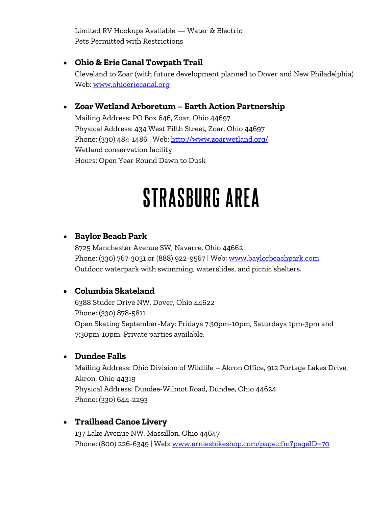Limited RV Hookups Available — Water & Electric Pets Permitted with Restrictions

#### • **Ohio & Erie Canal Towpath Trail**

Cleveland to Zoar (with future development planned to Dover and New Philadelphia) Web: [www.ohioeriecanal.org](http://www.ohioeriecanal.org/)

### • **Zoar Wetland Arboretum – Earth Action Partnership**

Mailing Address: PO Box 646, Zoar, Ohio 44697 Physical Address: 434 West Fifth Street, Zoar, Ohio 44697 Phone: (330) 484-1486 | Web:<http://www.zoarwetland.org/> Wetland conservation facility Hours: Open Year Round Dawn to Dusk

## STRASBURG AREA

#### • **Baylor Beach Park**

8725 Manchester Avenue SW, Navarre, Ohio 44662 Phone: (330) 767-3031 or (888) 922-9567 | Web: [www.baylorbeachpark.com](http://www.baylorbeachpark.com/) Outdoor waterpark with swimming, waterslides, and picnic shelters.

### • **Columbia Skateland**

6388 Studer Drive NW, Dover, Ohio 44622 Phone: (330) 878-5811 Open Skating September-May: Fridays 7:30pm-10pm, Saturdays 1pm-3pm and 7:30pm-10pm. Private parties available.

#### • **Dundee Falls**

Mailing Address: Ohio Division of Wildlife – Akron Office, 912 Portage Lakes Drive, Akron, Ohio 44319 Physical Address: Dundee-Wilmot Road, Dundee, Ohio 44624 Phone: (330) 644-2293

### • **Trailhead Canoe Livery**

137 Lake Avenue NW, Massillon, Ohio 44647 Phone: (800) 226-6349 | Web: [www.erniesbikeshop.com/page.cfm?pageID=70](http://erniesbikeshop.com/page.cfm?pageID=70)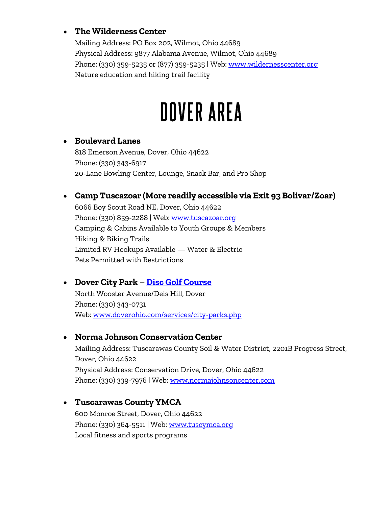#### • **The Wilderness Center**

Mailing Address: PO Box 202, Wilmot, Ohio 44689 Physical Address: 9877 Alabama Avenue, Wilmot, Ohio 44689 Phone: (330) 359-5235 or (877) 359-5235 | Web: [www.wildernesscenter.org](http://www.wildernesscenter.org/) Nature education and hiking trail facility

## **DOVER AREA**

#### • **Boulevard Lanes**

818 Emerson Avenue, Dover, Ohio 44622 Phone: (330) 343-6917 20-Lane Bowling Center, Lounge, Snack Bar, and Pro Shop

#### • **Camp Tuscazoar (More readily accessible via Exit 93 Bolivar/Zoar)**

6066 Boy Scout Road NE, Dover, Ohio 44622 Phone: (330) 859-2288 | Web: www.tuscazoar.org Camping & Cabins Available to Youth Groups & Members Hiking & Biking Trails Limited RV Hookups Available — Water & Electric Pets Permitted with Restrictions

### • **Dover City Park – [Disc Golf Course](http://www.doverohio.com/downloads/disc_golf_map2.pdf)**

North Wooster Avenue/Deis Hill, Dover Phone: (330) 343-0731 Web: [www.doverohio.com/services/city-parks.php](http://www.doverohio.com/services/city-parks.php)

#### • **Norma Johnson Conservation Center**

Mailing Address: Tuscarawas County Soil & Water District, 2201B Progress Street, Dover, Ohio 44622 Physical Address: Conservation Drive, Dover, Ohio 44622 Phone: (330) 339-7976 | Web: www.normajohnsoncenter.com

#### • **Tuscarawas County YMCA**

600 Monroe Street, Dover, Ohio 44622 Phone: (330) 364-5511 | Web: [www.tuscymca.org](http://www.tuscymca.org/) Local fitness and sports programs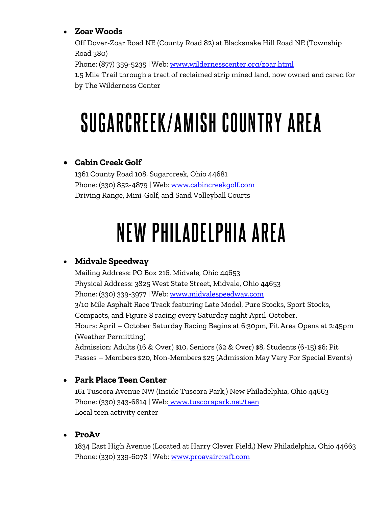### • **Zoar Woods**

Off Dover-Zoar Road NE (County Road 82) at Blacksnake Hill Road NE (Township Road 380) Phone: (877) 359-5235 | Web: [www.wildernesscenter.org/zoar.html](http://www.wildernesscenter.org/zoar.html) 1.5 Mile Trail through a tract of reclaimed strip mined land, now owned and cared for by The Wilderness Center

# SUGARCREEK/AMISH COUNTRY AREA

## • **Cabin Creek Golf**

1361 County Road 108, Sugarcreek, Ohio 44681 Phone: (330) 852-4879 | Web: [www.cabincreekgolf.com](http://www.cabincreekgolf.com/) Driving Range, Mini-Golf, and Sand Volleyball Courts

# NEW PHILADELPHIA AREA

## • **Midvale Speedway**

Mailing Address: PO Box 216, Midvale, Ohio 44653 Physical Address: 3825 West State Street, Midvale, Ohio 44653 Phone: (330) 339-3977 | Web: [www.midvalespeedway.com](http://www.midvalespeedway.com/) 3/10 Mile Asphalt Race Track featuring Late Model, Pure Stocks, Sport Stocks, Compacts, and Figure 8 racing every Saturday night April-October. Hours: April – October Saturday Racing Begins at 6:30pm, Pit Area Opens at 2:45pm (Weather Permitting) Admission: Adults (16 & Over) \$10, Seniors (62 & Over) \$8, Students (6-15) \$6; Pit Passes – Members \$20, Non-Members \$25 (Admission May Vary For Special Events)

## • **Park Place Teen Center**

161 Tuscora Avenue NW (Inside Tuscora Park,) New Philadelphia, Ohio 44663 Phone: (330) 343-6814 | Web[: www.tuscorapark.net/teen](http://www.tuscorapark.net/) Local teen activity center

## • **ProAv**

1834 East High Avenue (Located at Harry Clever Field,) New Philadelphia, Ohio 44663 Phone: (330) 339-6078 | Web: [www.proavaircraft.com](http://www.proavaircraft.com/)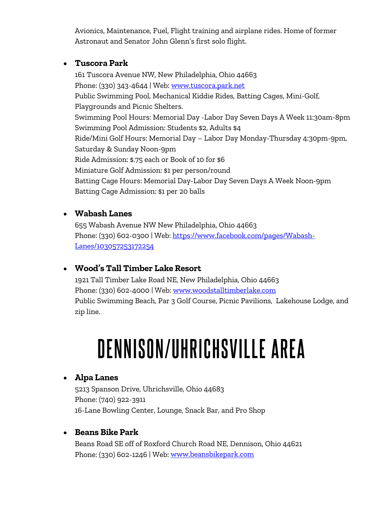Avionics, Maintenance, Fuel, Flight training and airplane rides. Home of former Astronaut and Senator John Glenn's first solo flight.

#### • **Tuscora Park**

161 Tuscora Avenue NW, New Philadelphia, Ohio 44663 Phone: (330) 343-4644 | Web: [www.tuscora.park.net](http://www.tuscora.park.net/) Public Swimming Pool, Mechanical Kiddie Rides, Batting Cages, Mini-Golf, Playgrounds and Picnic Shelters. Swimming Pool Hours: Memorial Day -Labor Day Seven Days A Week 11:30am-8pm Swimming Pool Admission: Students \$2, Adults \$4 Ride/Mini Golf Hours: Memorial Day – Labor Day Monday-Thursday 4:30pm-9pm, Saturday & Sunday Noon-9pm Ride Admission: \$.75 each or Book of 10 for \$6 Miniature Golf Admission: \$1 per person/round Batting Cage Hours: Memorial Day-Labor Day Seven Days A Week Noon-9pm Batting Cage Admission: \$1 per 20 balls

#### • **Wabash Lanes**

655 Wabash Avenue NW New Philadelphia, Ohio 44663 Phone: (330) 602-0300 | Web: [https://www.facebook.com/pages/Wabash-](https://www.facebook.com/pages/Wabash-Lanes/103057253172254)[Lanes/103057253172254](https://www.facebook.com/pages/Wabash-Lanes/103057253172254)

### • **Wood's Tall Timber Lake Resort**

1921 Tall Timber Lake Road NE, New Philadelphia, Ohio 44663 Phone: (330) 602-4000 | Web: [www.woodstalltimberlake.com](http://www.woodstalltimberlake.com/) Public Swimming Beach, Par 3 Golf Course, Picnic Pavilions, Lakehouse Lodge, and zip line.

# **DENNISON/UHRICHSVILLE AREA**

## • **Alpa Lanes**

5213 Spanson Drive, Uhrichsville, Ohio 44683 Phone: (740) 922-3911 16-Lane Bowling Center, Lounge, Snack Bar, and Pro Shop

### • **Beans Bike Park**

Beans Road SE off of Roxford Church Road NE, Dennison, Ohio 44621 Phone: (330) 602-1246 | Web: [www.beansbikepark.com](http://www.beansbikepark.com/)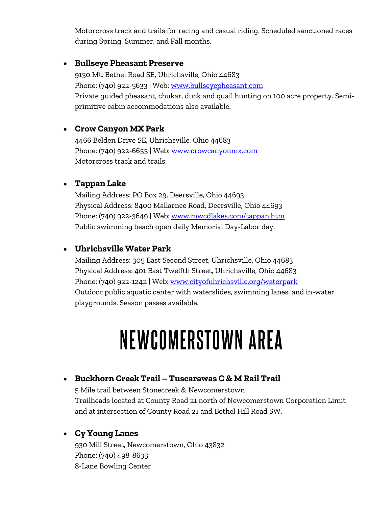Motorcross track and trails for racing and casual riding. Scheduled sanctioned races during Spring, Summer, and Fall months.

#### • **Bullseye Pheasant Preserve**

9150 Mt. Bethel Road SE, Uhrichsville, Ohio 44683 Phone: (740) 922-5633 | Web: [www.bullseyepheasant.com](http://www.bullseyepheasant.com/) Private guided pheasant, chukar, duck and quail hunting on 100 acre property. Semiprimitive cabin accommodations also available.

#### • **Crow Canyon MX Park**

4466 Belden Drive SE, Uhrichsville, Ohio 44683 Phone: (740) 922-6655 | Web: [www.crowcanyonmx.com](http://www.crowcanyonmx.com/) Motorcross track and trails.

#### • **Tappan Lake**

Mailing Address: PO Box 29, Deersville, Ohio 44693 Physical Address: 8400 Mallarnee Road, Deersville, Ohio 44693 Phone: (740) 922-3649 | Web: [www.mwcdlakes.com/tappan.htm](http://www.mwcdlakes.com/tappan.htm) Public swimming beach open daily Memorial Day-Labor day.

#### • **Uhrichsville Water Park**

Mailing Address: 305 East Second Street, Uhrichsville, Ohio 44683 Physical Address: 401 East Twelfth Street, Uhrichsville, Ohio 44683 Phone: (740) 922-1242 | Web: [www.cityofuhrichsville.org/waterpark](http://www.cityofuhrichsville.org/waterpark) Outdoor public aquatic center with waterslides, swimming lanes, and in-water playgrounds. Season passes available.

## NEWCOMERSTOWN AREA

#### • **Buckhorn Creek Trail – Tuscarawas C & M Rail Trail**

5 Mile trail between Stonecreek & Newcomerstown Trailheads located at County Road 21 north of Newcomerstown Corporation Limit and at intersection of County Road 21 and Bethel Hill Road SW.

#### • **Cy Young Lanes**

930 Mill Street, Newcomerstown, Ohio 43832 Phone: (740) 498-8635 8-Lane Bowling Center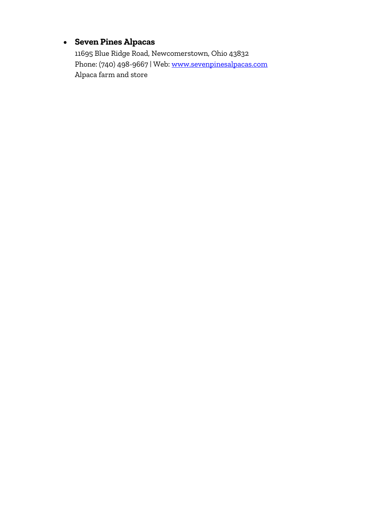## • **Seven Pines Alpacas**

11695 Blue Ridge Road, Newcomerstown, Ohio 43832 Phone: (740) 498-9667 | Web: [www.sevenpinesalpacas.com](http://www.sevenpinesalpacas.com/) Alpaca farm and store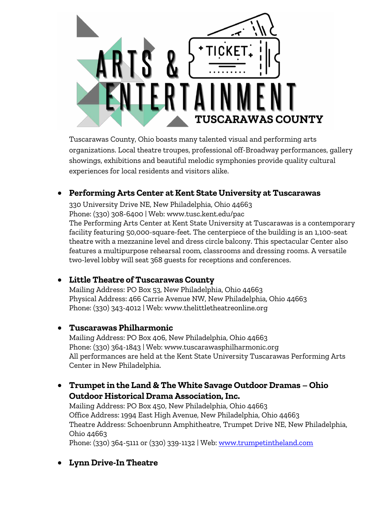

Tuscarawas County, Ohio boasts many talented visual and performing arts organizations. Local theatre troupes, professional off-Broadway performances, gallery showings, exhibitions and beautiful melodic symphonies provide quality cultural experiences for local residents and visitors alike.

### • **Performing Arts Center at Kent State University at Tuscarawas**

330 University Drive NE, New Philadelphia, Ohio 44663 Phone: (330) 308-6400 | Web: www.tusc.kent.edu/pac The Performing Arts Center at Kent State University at Tuscarawas is a contemporary facility featuring 50,000-square-feet. The centerpiece of the building is an 1,100-seat theatre with a mezzanine level and dress circle balcony. This spectacular Center also features a multipurpose rehearsal room, classrooms and dressing rooms. A versatile two-level lobby will seat 368 guests for receptions and conferences.

#### • **Little Theatre of Tuscarawas County**

Mailing Address: PO Box 53, New Philadelphia, Ohio 44663 Physical Address: 466 Carrie Avenue NW, New Philadelphia, Ohio 44663 Phone: (330) 343-4012 | Web: www.thelittletheatreonline.org

#### • **Tuscarawas Philharmonic**

Mailing Address: PO Box 406, New Philadelphia, Ohio 44663 Phone: (330) 364-1843 | Web: www.tuscarawasphilharmonic.org All performances are held at the Kent State University Tuscarawas Performing Arts Center in New Philadelphia.

#### • **Trumpet in the Land & The White Savage Outdoor Dramas – Ohio Outdoor Historical Drama Association, Inc.**

Mailing Address: PO Box 450, New Philadelphia, Ohio 44663 Office Address: 1994 East High Avenue, New Philadelphia, Ohio 44663 Theatre Address: Schoenbrunn Amphitheatre, Trumpet Drive NE, New Philadelphia, Ohio 44663

Phone: (330) 364-5111 or (330) 339-1132 | Web[: www.trumpetintheland.com](http://www.trumpetintheland.com/)

### • **Lynn Drive-In Theatre**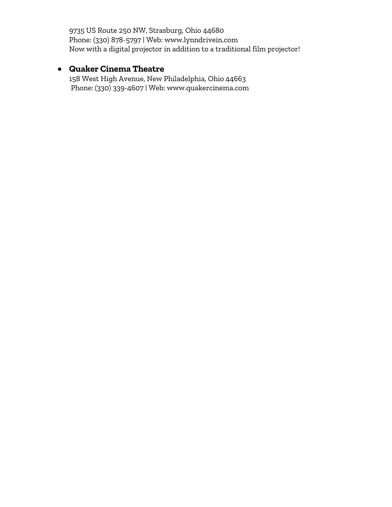9735 US Route 250 NW, Strasburg, Ohio 44680 Phone: (330) 878-5797 | Web: www.lynndrivein.com Now with a digital projector in addition to a traditional film projector!

## • **Quaker Cinema Theatre**

158 West High Avenue, New Philadelphia, Ohio 44663 Phone: (330) 339-4607 | Web: www.quakercinema.com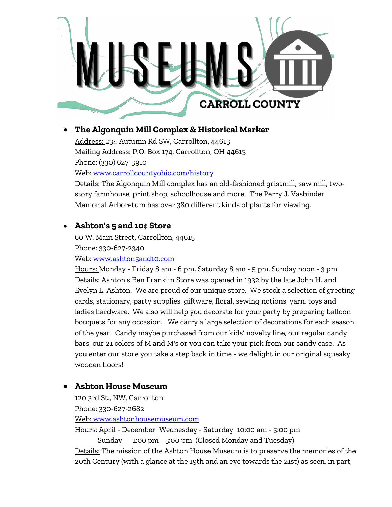

### • **The Algonquin Mill Complex & Historical Marker**

Address: 234 Autumn Rd SW, Carrollton, 44615 Mailing Address: P.O. Box 174, Carrollton, OH 44615 Phone: (330) 627-5910 Web: [www.carrollcountyohio.com/history](http://www.carrollcountyohio.com/history) 

Details: The Algonquin Mill complex has an old-fashioned gristmill; saw mill, twostory farmhouse, print shop, schoolhouse and more. The Perry J. Vasbinder Memorial Arboretum has over 380 different kinds of plants for viewing.

### • **Ashton's 5 and 10**¢ **Store**

60 W. Main Street, Carrollton, 44615 Phone: 330-627-2340 Web: [www.ashton5and10.com](http://www.ashton5and10.com/)

Hours: Monday - Friday 8 am - 6 pm, Saturday 8 am - 5 pm, Sunday noon - 3 pm Details: Ashton's Ben Franklin Store was opened in 1932 by the late John H. and Evelyn L. Ashton. We are proud of our unique store. We stock a selection of greeting cards, stationary, party supplies, giftware, floral, sewing notions, yarn, toys and ladies hardware. We also will help you decorate for your party by preparing balloon bouquets for any occasion. We carry a large selection of decorations for each season of the year. Candy maybe purchased from our kids' novelty line, our regular candy bars, our 21 colors of M and M's or you can take your pick from our candy case. As you enter our store you take a step back in time - we delight in our original squeaky wooden floors!

### • **Ashton House Museum**

120 3rd St., NW, Carrollton Phone: 330-627-2682 Web: [www.ashtonhousemuseum.com](http://www.ashtonhousemuseum.com/) 

Hours: April - December Wednesday - Saturday 10:00 am - 5:00 pm

 Sunday 1:00 pm - 5:00 pm (Closed Monday and Tuesday) Details: The mission of the Ashton House Museum is to preserve the memories of the 20th Century (with a glance at the 19th and an eye towards the 21st) as seen, in part,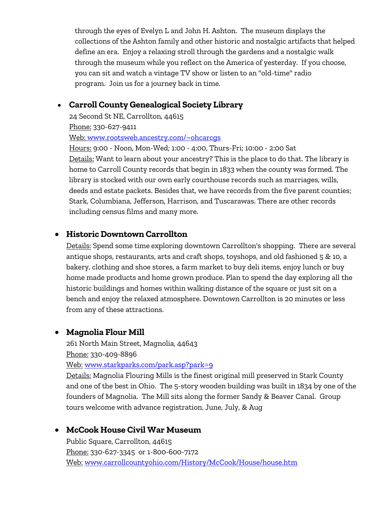through the eyes of Evelyn L and John H. Ashton. The museum displays the collections of the Ashton family and other historic and nostalgic artifacts that helped define an era. Enjoy a relaxing stroll through the gardens and a nostalgic walk through the museum while you reflect on the America of yesterday. If you choose, you can sit and watch a vintage TV show or listen to an "old-time" radio program. Join us for a journey back in time.

#### • **Carroll County Genealogical Society Library**

24 Second St NE, Carrollton, 44615 Phone: 330-627-9411 Web: [www.rootsweb.ancestry.com/~ohcarcgs](http://www.rootsweb.ancestry.com/~ohcarcgs/)

Hours: 9:00 - Noon, Mon-Wed; 1:00 - 4:00, Thurs-Fri; 10:00 - 2:00 Sat Details: Want to learn about your ancestry? This is the place to do that. The library is home to Carroll County records that begin in 1833 when the county was formed. The library is stocked with our own early courthouse records such as marriages, wills, deeds and estate packets. Besides that, we have records from the five parent counties; Stark, Columbiana, Jefferson, Harrison, and Tuscarawas. There are other records including census films and many more.

#### • **Historic Downtown Carrollton**

Details: Spend some time exploring downtown Carrollton's shopping. There are several antique shops, restaurants, arts and craft shops, toyshops, and old fashioned 5 & 10, a bakery, clothing and shoe stores, a farm market to buy deli items, enjoy lunch or buy home made products and home grown produce. Plan to spend the day exploring all the historic buildings and homes within walking distance of the square or just sit on a bench and enjoy the relaxed atmosphere. Downtown Carrollton is 20 minutes or less from any of these attractions.

#### • **Magnolia Flour Mill**

261 North Main Street, Magnolia, 44643 Phone: 330-409-8896 Web: [www.starkparks.com/park.asp?park=9](http://www.starkparks.com/park.asp?park=9) 

Details: Magnolia Flouring Mills is the finest original mill preserved in Stark County and one of the best in Ohio. The 5-story wooden building was built in 1834 by one of the founders of Magnolia. The Mill sits along the former Sandy & Beaver Canal. Group tours welcome with advance registration. June, July, & Aug

#### • **McCook House Civil War Museum**

Public Square, Carrollton, 44615 Phone: 330-627-3345 or 1-800-600-7172 Web: [www.carrollcountyohio.com/History/McCook/House/house.htm](http://www.carrollcountyohio.com/History/McCook/House/house.htm)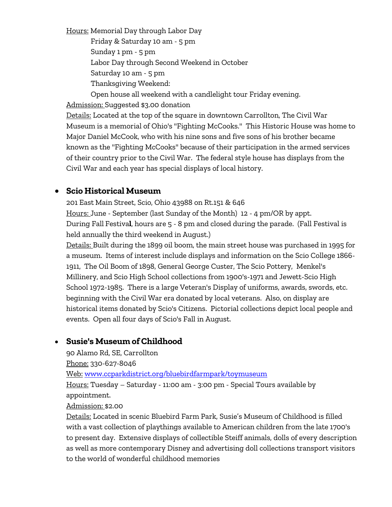Hours: Memorial Day through Labor Day Friday & Saturday 10 am - 5 pm Sunday 1 pm - 5 pm Labor Day through Second Weekend in October Saturday 10 am - 5 pm Thanksgiving Weekend:

Open house all weekend with a candlelight tour Friday evening.

Admission: Suggested \$3.00 donation

Details: Located at the top of the square in downtown Carrollton, The Civil War Museum is a memorial of Ohio's "Fighting McCooks." This Historic House was home to Major Daniel McCook, who with his nine sons and five sons of his brother became known as the "Fighting McCooks" because of their participation in the armed services of their country prior to the Civil War. The federal style house has displays from the Civil War and each year has special displays of local history.

#### • **Scio Historical Museum**

201 East Main Street, Scio, Ohio 43988 on Rt.151 & 646 Hours: June - September (last Sunday of the Month) 12 - 4 pm/OR by appt. During Fall Festiva**l**, hours are 5 - 8 pm and closed during the parade. (Fall Festival is held annually the third weekend in August.)

Details: Built during the 1899 oil boom, the main street house was purchased in 1995 for a museum. Items of interest include displays and information on the Scio College 1866- 1911, The Oil Boom of 1898, General George Custer, The Scio Pottery, Menkel's Millinery, and Scio High School collections from 1900's-1971 and Jewett-Scio High School 1972-1985. There is a large Veteran's Display of uniforms, awards, swords, etc. beginning with the Civil War era donated by local veterans. Also, on display are historical items donated by Scio's Citizens. Pictorial collections depict local people and events. Open all four days of Scio's Fall in August.

#### • **Susie's Museum of Childhood**

90 Alamo Rd, SE, Carrollton

Phone: 330-627-8046

Web: [www.ccparkdistrict.org/bluebirdfarmpark/toymuseum](http://www.ccparkdistrict.org/bluebirdfarmpark/toymuseum.html) 

Hours: Tuesday – Saturday - 11:00 am - 3:00 pm - Special Tours available by appointment.

#### Admission: \$2.00

Details: Located in scenic Bluebird Farm Park, Susie's Museum of Childhood is filled with a vast collection of playthings available to American children from the late 1700's to present day. Extensive displays of collectible Steiff animals, dolls of every description as well as more contemporary Disney and advertising doll collections transport visitors to the world of wonderful childhood memories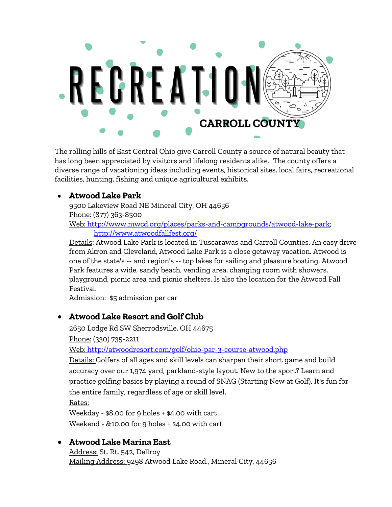

The rolling hills of East Central Ohio give Carroll County a source of natural beauty that has long been appreciated by visitors and lifelong residents alike. The county offers a diverse range of vacationing ideas including events, historical sites, local fairs, recreational facilities, hunting, fishing and unique agricultural exhibits.

#### • **Atwood Lake Park**

[9500 Lakeview Road NE Mineral City, OH 44656](http://maps.google.com/?hl=en&q=9500+Lakeview+Road+NE+Mineral+City+OH+44656)  Phone: (877) 363-8500 Web: [http://www.mwcd.org/places/parks-and-campgrounds/atwood-lake-park;](http://www.mwcd.org/places/parks-and-campgrounds/atwood-lake-park) <http://www.atwoodfallfest.org/>

Details: Atwood Lake Park is located in Tuscarawas and Carroll Counties. An easy drive from Akron and Cleveland, Atwood Lake Park is a close getaway vacation. Atwood is one of the state's -- and region's -- top lakes for sailing and pleasure boating. Atwood Park features a wide, sandy beach, vending area, changing room with showers, playground, picnic area and picnic shelters. Is also the location for the Atwood Fall Festival.

Admission: \$5 admission per car

#### • **Atwood Lake Resort and Golf Club**

2650 Lodge Rd SW Sherrodsville, OH 44675 Phone: (330) 735-2211

Web:<http://atwoodresort.com/golf/ohio-par-3-course-atwood.php>

Details: Golfers of all ages and skill levels can sharpen their short game and build accuracy over our 1,974 yard, parkland-style layout. New to the sport? Learn and practice golfing basics by playing a round of SNAG (Starting New at Golf). It's fun for the entire family, regardless of age or skill level.

Rates:

Weekday - \$8.00 for 9 holes + \$4.00 with cart Weekend - &10.00 for 9 holes + \$4.00 with cart

#### • **Atwood Lake Marina East**

Address: St. Rt. 542, Dellroy Mailing Address: 9298 Atwood Lake Road., Mineral City, 44656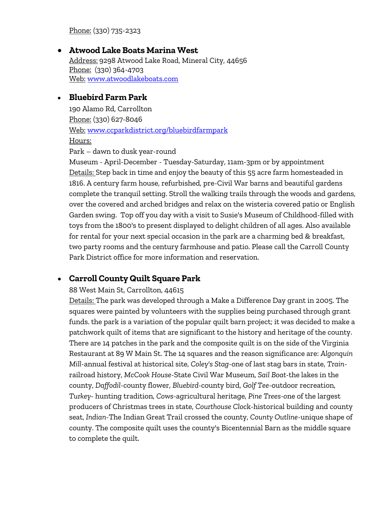Phone: (330) 735-2323

• **Atwood Lake Boats Marina West**  Address: 9298 Atwood Lake Road, Mineral City, 44656 Phone: (330) 364-4703 Web: [www.atwoodlakeboats.com](http://www.atwoodlakeboats.com/)

#### • **Bluebird Farm Park**

190 Alamo Rd, Carrollton Phone: (330) 627-8046 Web: [www.ccparkdistrict.org/bluebirdfarmpark](http://www.ccparkdistrict.org/bluebirdfarmpark.html)  Hours:

Park – dawn to dusk year-round

Museum - April-December - Tuesday-Saturday, 11am-3pm or by appointment Details: Step back in time and enjoy the beauty of this 55 acre farm homesteaded in 1816. A century farm house, refurbished, pre-Civil War barns and beautiful gardens complete the tranquil setting. Stroll the walking trails through the woods and gardens, over the covered and arched bridges and relax on the wisteria covered patio or English Garden swing. Top off you day with a visit to Susie's Museum of Childhood-filled with toys from the 1800's to present displayed to delight children of all ages. Also available for rental for your next special occasion in the park are a charming bed & breakfast, two party rooms and the century farmhouse and patio. Please call the Carroll County Park District office for more information and reservation.

#### • **Carroll County Quilt Square Park**

#### 88 West Main St, Carrollton, 44615

Details: The park was developed through a Make a Difference Day grant in 2005. The squares were painted by volunteers with the supplies being purchased through grant funds. the park is a variation of the popular quilt barn project; it was decided to make a patchwork quilt of items that are significant to the history and heritage of the county. There are 14 patches in the park and the composite quilt is on the side of the Virginia Restaurant at 89 W Main St. The 14 squares and the reason significance are: *Algonquin Mill*-annual festival at historical site, *Coley's Stag*-one of last stag bars in state, *Train*railroad history, *McCook House*-State Civil War Museum, *Sail Boat*-the lakes in the county, *Daffodil-*county flower, *Bluebird-*county bird, *Golf Tee-*outdoor recreation, *Turkey-* hunting tradition, *Cows-*agricultural heritage, *Pine Trees-o*ne of the largest producers of Christmas trees in state, *Courthouse Cloc*k-historical building and county seat, *Indian*-The Indian Great Trail crossed the county, *County Outline*-unique shape of county. The composite quilt uses the county's Bicentennial Barn as the middle square to complete the quilt.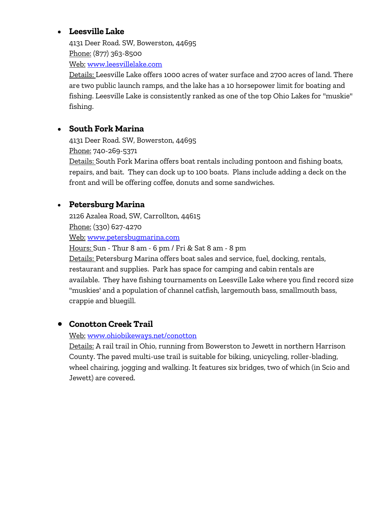#### • **Leesville Lake**

4131 Deer Road. SW, Bowerston, 44695 Phone: (877) 363-8500 Web: [www.leesvillelake.com](http://www.leesvillelake.com/) 

Details: Leesville Lake offers 1000 acres of water surface and 2700 acres of land. There are two public launch ramps, and the lake has a 10 horsepower limit for boating and fishing. Leesville Lake is consistently ranked as one of the top Ohio Lakes for "muskie" fishing.

#### • **South Fork Marina**

4131 Deer Road. SW, Bowerston, 44695 Phone: 740-269-5371

Details: South Fork Marina offers boat rentals including pontoon and fishing boats, repairs, and bait. They can dock up to 100 boats. Plans include adding a deck on the front and will be offering coffee, donuts and some sandwiches.

#### • **Petersburg Marina**

2126 Azalea Road, SW, Carrollton, 44615 Phone: (330) 627-4270

Web: [www.petersbugmarina.com](http://www.petersburgmarina.com/) 

Hours: Sun - Thur 8 am - 6 pm / Fri & Sat 8 am - 8 pm Details: Petersburg Marina offers boat sales and service, fuel, docking, rentals, restaurant and supplies. Park has space for camping and cabin rentals are available. They have fishing tournaments on Leesville Lake where you find record size "muskies' and a population of channel catfish, largemouth bass, smallmouth bass, crappie and bluegill.

#### • **Conotton Creek Trail**

#### Web: [www.ohiobikeways.net/conotton](http://www.ohiobikeways.net/conotton.htm)

Details: A [rail trail](https://www.facebook.com/pages/w/103123336395008) i[n Ohio,](https://www.facebook.com/pages/w/104024609634842) running from [Bowerston](https://www.facebook.com/pages/w/112770492068262) to [Jewett](https://www.facebook.com/pages/w/104115562957700) in northern [Harrison](https://www.facebook.com/pages/w/103163346405644)  [County.](https://www.facebook.com/pages/w/103163346405644) The paved multi-use trail is suitable for biking, unicycling, roller-blading, wheel chairing, jogging and walking. It features six bridges, two of which (in Scio and Jewett) are covered.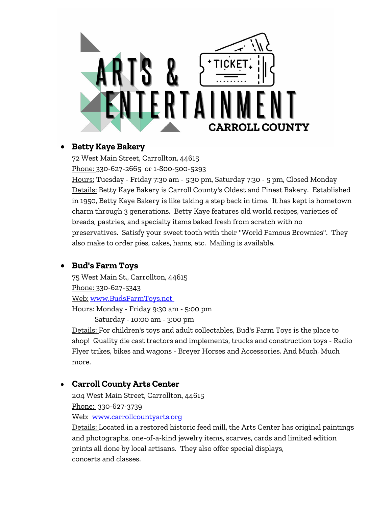

#### • **Betty Kaye Bakery**

72 West Main Street, Carrollton, 44615 Phone: 330-627-2665 or 1-800-500-5293

Hours: Tuesday - Friday 7:30 am - 5:30 pm, Saturday 7:30 - 5 pm, Closed Monday Details: Betty Kaye Bakery is Carroll County's Oldest and Finest Bakery. Established in 1950, Betty Kaye Bakery is like taking a step back in time. It has kept is hometown charm through 3 generations. Betty Kaye features old world recipes, varieties of breads, pastries, and specialty items baked fresh from scratch with no preservatives. Satisfy your sweet tooth with their "World Famous Brownies". They also make to order pies, cakes, hams, etc. Mailing is available.

### • **Bud's Farm Toys**

75 West Main St., Carrollton, 44615 Phone: 330-627-5343 Web: [www.BudsFarmToys.net](http://www.budsfarmtoys.net/)  Hours: Monday - Friday 9:30 am - 5:00 pm Saturday - 10:00 am - 3:00 pm

Details: For children's toys and adult collectables, Bud's Farm Toys is the place to shop! Quality die cast tractors and implements, trucks and construction toys - Radio Flyer trikes, bikes and wagons - Breyer Horses and Accessories. And Much, Much more.

#### • **Carroll County Arts Center**

204 West Main Street, Carrollton, 44615 Phone: 330-627-3739 Web: [www.carrollcountyarts.org](http://www.carrollcountyarts.org/)

Details: Located in a restored historic feed mill, the Arts Center has original paintings and photographs, one-of-a-kind jewelry items, scarves, cards and limited edition prints all done by local artisans. They also offer special displays, concerts and classes.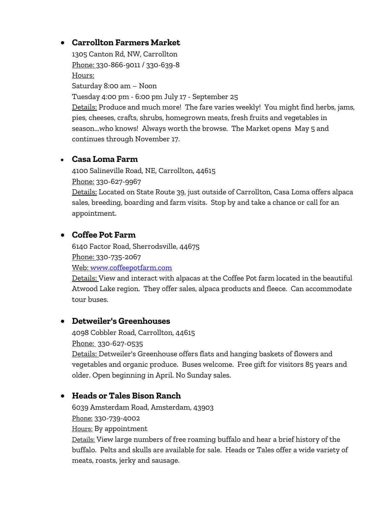#### • **Carrollton Farmers Market**

1305 Canton Rd, NW, Carrollton Phone: 330-866-9011 / 330-639-8 Hours: Saturday 8:00 am – Noon

Tuesday 4:00 pm - 6:00 pm July 17 - September 25

Details: Produce and much more! The fare varies weekly! You might find herbs, jams, pies, cheeses, crafts, shrubs, homegrown meats, fresh fruits and vegetables in season...who knows! Always worth the browse. The Market opens May 5 and continues through November 17.

#### • **Casa Loma Farm**

4100 Salineville Road, NE, Carrollton, 44615 Phone: 330-627-9967

Details: Located on State Route 39, just outside of Carrollton, Casa Loma offers alpaca sales, breeding, boarding and farm visits. Stop by and take a chance or call for an appointment.

#### • **Coffee Pot Farm**

6140 Factor Road, Sherrodsville, 44675 Phone: 330-735-2067

Web: [www.coffeepotfarm.com](http://www.coffeepotfarm.com/) 

Details: View and interact with alpacas at the Coffee Pot farm located in the beautiful Atwood Lake region. They offer sales, alpaca products and fleece. Can accommodate tour buses.

### • **Detweiler's Greenhouses**

4098 Cobbler Road, Carrollton, 44615 Phone: 330-627-0535

Details: Detweiler's Greenhouse offers flats and hanging baskets of flowers and vegetables and organic produce. Buses welcome. Free gift for visitors 85 years and older. Open beginning in April. No Sunday sales.

#### • **Heads or Tales Bison Ranch**

6039 Amsterdam Road, Amsterdam, 43903 Phone: 330-739-4002 Hours: By appointment

Details: View large numbers of free roaming buffalo and hear a brief history of the buffalo. Pelts and skulls are available for sale. Heads or Tales offer a wide variety of meats, roasts, jerky and sausage.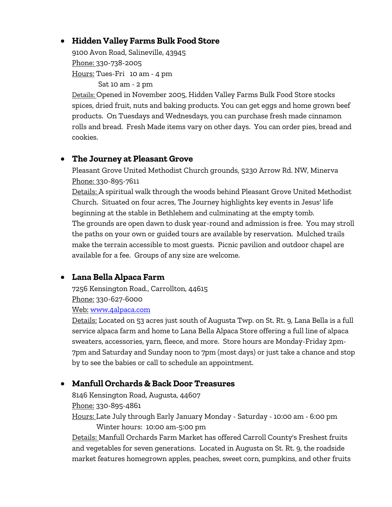#### • **Hidden Valley Farms Bulk Food Store**

9100 Avon Road, Salineville, 43945 Phone: 330-738-2005 Hours: Tues-Fri 10 am - 4 pm

Sat 10 am - 2 pm

Details: Opened in November 2005, Hidden Valley Farms Bulk Food Store stocks spices, dried fruit, nuts and baking products. You can get eggs and home grown beef products. On Tuesdays and Wednesdays, you can purchase fresh made cinnamon rolls and bread. Fresh Made items vary on other days. You can order pies, bread and cookies.

#### • **The Journey at Pleasant Grove**

Pleasant Grove United Methodist Church grounds, 5230 Arrow Rd. NW, Minerva Phone: 330-895-7611

Details: A spiritual walk through the woods behind Pleasant Grove United Methodist Church. Situated on four acres, The Journey highlights key events in Jesus' life beginning at the stable in Bethlehem and culminating at the empty tomb. The grounds are open dawn to dusk year-round and admission is free. You may stroll the paths on your own or guided tours are available by reservation. Mulched trails make the terrain accessible to most guests. Picnic pavilion and outdoor chapel are available for a fee. Groups of any size are welcome.

### • **Lana Bella Alpaca Farm**

7256 Kensington Road., Carrollton, 44615 Phone: 330-627-6000

Web: [www.4alpaca.com](http://www.4alpaca.com/) 

Details: Located on 53 acres just south of Augusta Twp. on St. Rt. 9, Lana Bella is a full service alpaca farm and home to Lana Bella Alpaca Store offering a full line of alpaca sweaters, accessories, yarn, fleece, and more. Store hours are Monday-Friday 2pm-7pm and Saturday and Sunday noon to 7pm (most days) or just take a chance and stop by to see the babies or call to schedule an appointment.

### • **Manfull Orchards & Back Door Treasures**

8146 Kensington Road, Augusta, 44607 Phone: 330-895-4861 Hours: Late July through Early January Monday - Saturday - 10:00 am - 6:00 pm Winter hours: 10:00 am-5:00 pm

Details: Manfull Orchards Farm Market has offered Carroll County's Freshest fruits and vegetables for seven generations. Located in Augusta on St. Rt. 9, the roadside market features homegrown apples, peaches, sweet corn, pumpkins, and other fruits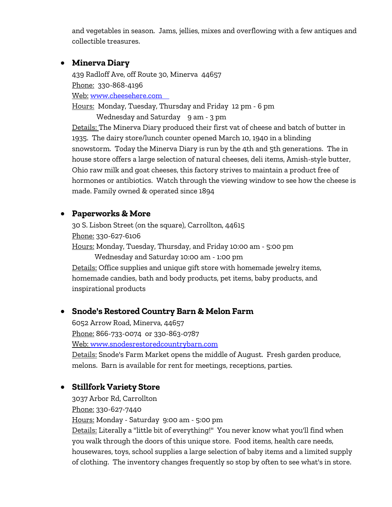and vegetables in season. Jams, jellies, mixes and overflowing with a few antiques and collectible treasures.

#### • **Minerva Diary**

439 Radloff Ave, off Route 30, Minerva 44657 Phone: 330-868-4196

Web: [www.cheesehere.com](http://www.cheesehere.com/) 

Hours: Monday, Tuesday, Thursday and Friday 12 pm - 6 pm

Wednesday and Saturday 9 am - 3 pm

Details: The Minerva Diary produced their first vat of cheese and batch of butter in 1935. The dairy store/lunch counter opened March 10, 1940 in a blinding snowstorm. Today the Minerva Diary is run by the 4th and 5th generations. The in house store offers a large selection of natural cheeses, deli items, Amish-style butter, Ohio raw milk and goat cheeses, this factory strives to maintain a product free of hormones or antibiotics. Watch through the viewing window to see how the cheese is made. Family owned & operated since 1894

#### • **Paperworks & More**

30 S. Lisbon Street (on the square), Carrollton, 44615 Phone: 330-627-6106 Hours: Monday, Tuesday, Thursday, and Friday 10:00 am - 5:00 pm Wednesday and Saturday 10:00 am - 1:00 pm Details: Office supplies and unique gift store with homemade jewelry items, homemade candies, bath and body products, pet items, baby products, and inspirational products

#### • **Snode's Restored Country Barn & Melon Farm**

6052 Arrow Road, Minerva, 44657 Phone: 866-733-0074 or 330-863-0787 Web: [www.snodesrestoredcountrybarn.com](http://www.snodesrestoredcountrybarn.com/) 

Details: Snode's Farm Market opens the middle of August. Fresh garden produce, melons. Barn is available for rent for meetings, receptions, parties.

#### • **Stillfork Variety Store**

3037 Arbor Rd, Carrollton Phone: 330-627-7440 Hours: Monday - Saturday 9:00 am - 5:00 pm Details: Literally a "little bit of everything!" You never know what you'll find when you walk through the doors of this unique store. Food items, health care needs, housewares, toys, school supplies a large selection of baby items and a limited supply of clothing. The inventory changes frequently so stop by often to see what's in store.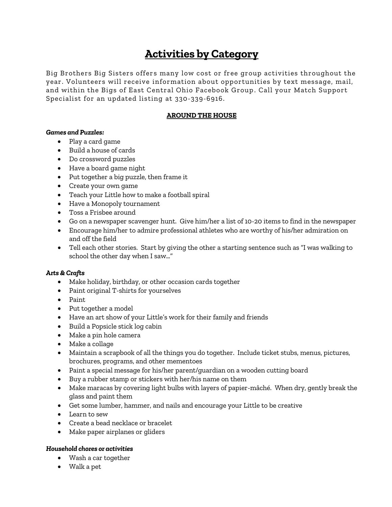## **Activities by Category**

Big Brothers Big Sisters offers many low cost or free group activities throughout the year. Volunteers will receive information about opportunities by text message, mail, and within the Bigs of East Central Ohio Facebook Group . Call your Match Support Specialist for an updated listing at 330-339-6916.

#### **AROUND THE HOUSE**

#### *Games and Puzzles:*

- Play a card game
- Build a house of cards
- Do crossword puzzles
- Have a board game night
- Put together a big puzzle, then frame it
- Create your own game
- Teach your Little how to make a football spiral
- Have a Monopoly tournament
- Toss a Frisbee around
- Go on a newspaper scavenger hunt. Give him/her a list of 10-20 items to find in the newspaper
- Encourage him/her to admire professional athletes who are worthy of his/her admiration on and off the field
- Tell each other stories. Start by giving the other a starting sentence such as "I was walking to school the other day when I saw…"

#### *Arts & Crafts*

- Make holiday, birthday, or other occasion cards together
- Paint original T-shirts for yourselves
- Paint
- Put together a model
- Have an art show of your Little's work for their family and friends
- Build a Popsicle stick log cabin
- Make a pin hole camera
- Make a collage
- Maintain a scrapbook of all the things you do together. Include ticket stubs, menus, pictures, brochures, programs, and other mementoes
- Paint a special message for his/her parent/guardian on a wooden cutting board
- Buy a rubber stamp or stickers with her/his name on them
- Make maracas by covering light bulbs with layers of papier-mâché. When dry, gently break the glass and paint them
- Get some lumber, hammer, and nails and encourage your Little to be creative
- Learn to sew
- Create a bead necklace or bracelet
- Make paper airplanes or gliders

#### *Household chores or activities*

- Wash a car together
- Walk a pet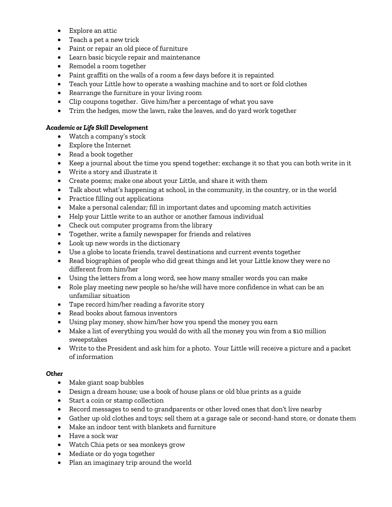- Explore an attic
- Teach a pet a new trick
- Paint or repair an old piece of furniture
- Learn basic bicycle repair and maintenance
- Remodel a room together
- Paint graffiti on the walls of a room a few days before it is repainted
- Teach your Little how to operate a washing machine and to sort or fold clothes
- Rearrange the furniture in your living room
- Clip coupons together. Give him/her a percentage of what you save
- Trim the hedges, mow the lawn, rake the leaves, and do yard work together

#### *Academic or Life Skill Development*

- Watch a company's stock
- Explore the Internet
- Read a book together
- Keep a journal about the time you spend together; exchange it so that you can both write in it
- Write a story and illustrate it
- Create poems; make one about your Little, and share it with them
- Talk about what's happening at school, in the community, in the country, or in the world
- Practice filling out applications
- Make a personal calendar; fill in important dates and upcoming match activities
- Help your Little write to an author or another famous individual
- Check out computer programs from the library
- Together, write a family newspaper for friends and relatives
- Look up new words in the dictionary
- Use a globe to locate friends, travel destinations and current events together
- Read biographies of people who did great things and let your Little know they were no different from him/her
- Using the letters from a long word, see how many smaller words you can make
- Role play meeting new people so he/she will have more confidence in what can be an unfamiliar situation
- Tape record him/her reading a favorite story
- Read books about famous inventors
- Using play money, show him/her how you spend the money you earn
- Make a list of everything you would do with all the money you win from a \$10 million sweepstakes
- Write to the President and ask him for a photo. Your Little will receive a picture and a packet of information

#### *Other*

- Make giant soap bubbles
- Design a dream house; use a book of house plans or old blue prints as a guide
- Start a coin or stamp collection
- Record messages to send to grandparents or other loved ones that don't live nearby
- Gather up old clothes and toys; sell them at a garage sale or second-hand store, or donate them
- Make an indoor tent with blankets and furniture
- Have a sock war
- Watch Chia pets or sea monkeys grow
- Mediate or do yoga together
- Plan an imaginary trip around the world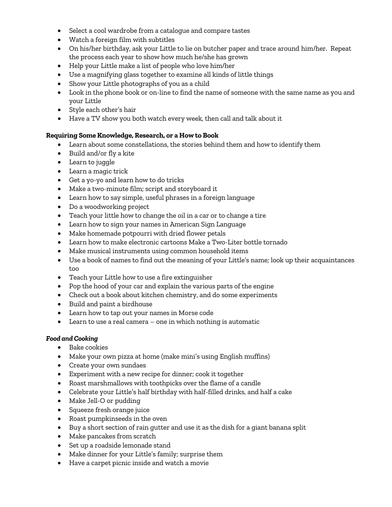- Select a cool wardrobe from a catalogue and compare tastes
- Watch a foreign film with subtitles
- On his/her birthday, ask your Little to lie on butcher paper and trace around him/her. Repeat the process each year to show how much he/she has grown
- Help your Little make a list of people who love him/her
- Use a magnifying glass together to examine all kinds of little things
- Show your Little photographs of you as a child
- Look in the phone book or on-line to find the name of someone with the same name as you and your Little
- Style each other's hair
- Have a TV show you both watch every week, then call and talk about it

#### **Requiring Some Knowledge, Research, or a How to Book**

- Learn about some constellations, the stories behind them and how to identify them
- Build and/or fly a kite
- Learn to juggle
- Learn a magic trick
- Get a yo-yo and learn how to do tricks
- Make a two-minute film; script and storyboard it
- Learn how to say simple, useful phrases in a foreign language
- Do a woodworking project
- Teach your little how to change the oil in a car or to change a tire
- Learn how to sign your names in American Sign Language
- Make homemade potpourri with dried flower petals
- Learn how to make electronic cartoons Make a Two-Liter bottle tornado
- Make musical instruments using common household items
- Use a book of names to find out the meaning of your Little's name; look up their acquaintances too
- Teach your Little how to use a fire extinguisher
- Pop the hood of your car and explain the various parts of the engine
- Check out a book about kitchen chemistry, and do some experiments
- Build and paint a birdhouse
- Learn how to tap out your names in Morse code
- Learn to use a real camera one in which nothing is automatic

#### *Food and Cooking*

- Bake cookies
- Make your own pizza at home (make mini's using English muffins)
- Create your own sundaes
- Experiment with a new recipe for dinner; cook it together
- Roast marshmallows with toothpicks over the flame of a candle
- Celebrate your Little's half birthday with half-filled drinks, and half a cake
- Make Jell-O or pudding
- Squeeze fresh orange juice
- Roast pumpkinseeds in the oven
- Buy a short section of rain gutter and use it as the dish for a giant banana split
- Make pancakes from scratch
- Set up a roadside lemonade stand
- Make dinner for your Little's family; surprise them
- Have a carpet picnic inside and watch a movie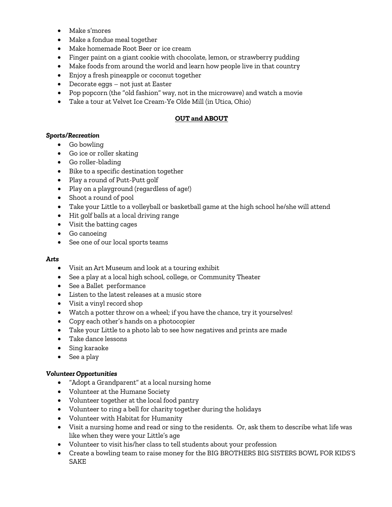- Make s'mores
- Make a fondue meal together
- Make homemade Root Beer or ice cream
- Finger paint on a giant cookie with chocolate, lemon, or strawberry pudding
- Make foods from around the world and learn how people live in that country
- Enjoy a fresh pineapple or coconut together
- Decorate eggs not just at Easter
- Pop popcorn (the "old fashion" way, not in the microwave) and watch a movie
- Take a tour at Velvet Ice Cream-Ye Olde Mill (in Utica, Ohio)

#### **OUT and ABOUT**

#### *Sports/Recreation*

- Go bowling
- Go ice or roller skating
- Go roller-blading
- Bike to a specific destination together
- Play a round of Putt-Putt golf
- Play on a playground (regardless of age!)
- Shoot a round of pool
- Take your Little to a volleyball or basketball game at the high school he/she will attend
- Hit golf balls at a local driving range
- Visit the batting cages
- Go canoeing
- See one of our local sports teams

#### *Arts*

- Visit an Art Museum and look at a touring exhibit
- See a play at a local high school, college, or Community Theater
- See a Ballet performance
- Listen to the latest releases at a music store
- Visit a vinyl record shop
- Watch a potter throw on a wheel; if you have the chance, try it yourselves!
- Copy each other's hands on a photocopier
- Take your Little to a photo lab to see how negatives and prints are made
- Take dance lessons
- Sing karaoke
- See a play

#### *Volunteer Opportunities*

- "Adopt a Grandparent" at a local nursing home
- Volunteer at the Humane Society
- Volunteer together at the local food pantry
- Volunteer to ring a bell for charity together during the holidays
- Volunteer with Habitat for Humanity
- Visit a nursing home and read or sing to the residents. Or, ask them to describe what life was like when they were your Little's age
- Volunteer to visit his/her class to tell students about your profession
- Create a bowling team to raise money for the BIG BROTHERS BIG SISTERS BOWL FOR KIDS'S SAKE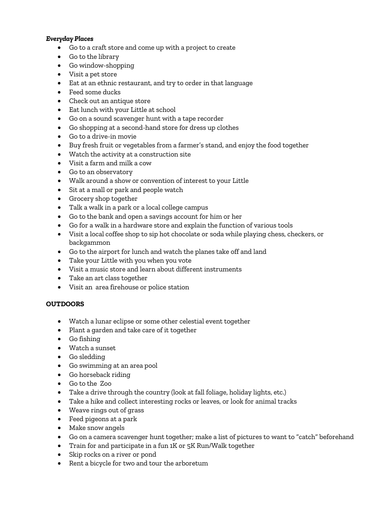#### *Everyday Places*

- Go to a craft store and come up with a project to create
- Go to the library
- Go window-shopping
- Visit a pet store
- Eat at an ethnic restaurant, and try to order in that language
- Feed some ducks
- Check out an antique store
- Eat lunch with your Little at school
- Go on a sound scavenger hunt with a tape recorder
- Go shopping at a second-hand store for dress up clothes
- Go to a drive-in movie
- Buy fresh fruit or vegetables from a farmer's stand, and enjoy the food together
- Watch the activity at a construction site
- Visit a farm and milk a cow
- Go to an observatory
- Walk around a show or convention of interest to your Little
- Sit at a mall or park and people watch
- Grocery shop together
- Talk a walk in a park or a local college campus
- Go to the bank and open a savings account for him or her
- Go for a walk in a hardware store and explain the function of various tools
- Visit a local coffee shop to sip hot chocolate or soda while playing chess, checkers, or backgammon
- Go to the airport for lunch and watch the planes take off and land
- Take your Little with you when you vote
- Visit a music store and learn about different instruments
- Take an art class together
- Visit an area firehouse or police station

#### **OUTDOORS**

- Watch a lunar eclipse or some other celestial event together
- Plant a garden and take care of it together
- Go fishing
- Watch a sunset
- Go sledding
- Go swimming at an area pool
- Go horseback riding
- Go to the Zoo
- Take a drive through the country (look at fall foliage, holiday lights, etc.)
- Take a hike and collect interesting rocks or leaves, or look for animal tracks
- Weave rings out of grass
- Feed pigeons at a park
- Make snow angels
- Go on a camera scavenger hunt together; make a list of pictures to want to "catch" beforehand
- Train for and participate in a fun 1K or 5K Run/Walk together
- Skip rocks on a river or pond
- Rent a bicycle for two and tour the arboretum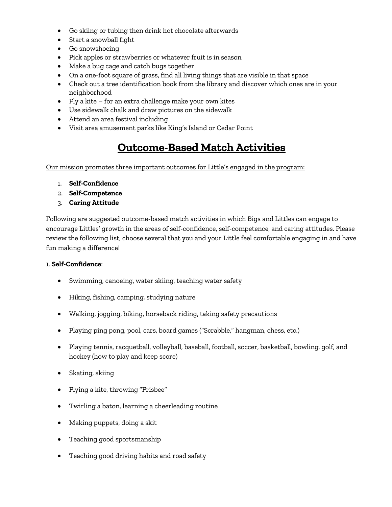- Go skiing or tubing then drink hot chocolate afterwards
- Start a snowball fight
- Go snowshoeing
- Pick apples or strawberries or whatever fruit is in season
- Make a bug cage and catch bugs together
- On a one-foot square of grass, find all living things that are visible in that space
- Check out a tree identification book from the library and discover which ones are in your neighborhood
- Fly a kite for an extra challenge make your own kites
- Use sidewalk chalk and draw pictures on the sidewalk
- Attend an area festival including
- Visit area amusement parks like King's Island or Cedar Point

## **Outcome-Based Match Activities**

Our mission promotes three important outcomes for Little's engaged in the program:

- 1. **Self-Confidence**
- 2. **Self-Competence**
- 3. **Caring Attitude**

Following are suggested outcome-based match activities in which Bigs and Littles can engage to encourage Littles' growth in the areas of self-confidence, self-competence, and caring attitudes. Please review the following list, choose several that you and your Little feel comfortable engaging in and have fun making a difference!

#### 1. **Self-Confidence**:

- Swimming, canoeing, water skiing, teaching water safety
- Hiking, fishing, camping, studying nature
- Walking, jogging, biking, horseback riding, taking safety precautions
- Playing ping pong, pool, cars, board games ("Scrabble," hangman, chess, etc.)
- Playing tennis, racquetball, volleyball, baseball, football, soccer, basketball, bowling, golf, and hockey (how to play and keep score)
- Skating, skiing
- Flying a kite, throwing "Frisbee"
- Twirling a baton, learning a cheerleading routine
- Making puppets, doing a skit
- Teaching good sportsmanship
- Teaching good driving habits and road safety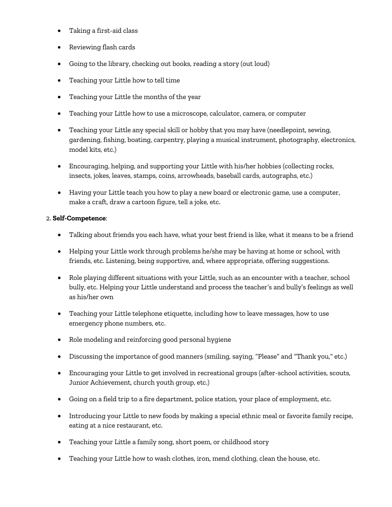- Taking a first-aid class
- Reviewing flash cards
- Going to the library, checking out books, reading a story (out loud)
- Teaching your Little how to tell time
- Teaching your Little the months of the year
- Teaching your Little how to use a microscope, calculator, camera, or computer
- Teaching your Little any special skill or hobby that you may have (needlepoint, sewing, gardening, fishing, boating, carpentry, playing a musical instrument, photography, electronics, model kits, etc.)
- Encouraging, helping, and supporting your Little with his/her hobbies (collecting rocks, insects, jokes, leaves, stamps, coins, arrowheads, baseball cards, autographs, etc.)
- Having your Little teach you how to play a new board or electronic game, use a computer, make a craft, draw a cartoon figure, tell a joke, etc.

#### 2. **Self-Competence**:

- Talking about friends you each have, what your best friend is like, what it means to be a friend
- Helping your Little work through problems he/she may be having at home or school, with friends, etc. Listening, being supportive, and, where appropriate, offering suggestions.
- Role playing different situations with your Little, such as an encounter with a teacher, school bully, etc. Helping your Little understand and process the teacher's and bully's feelings as well as his/her own
- Teaching your Little telephone etiquette, including how to leave messages, how to use emergency phone numbers, etc.
- Role modeling and reinforcing good personal hygiene
- Discussing the importance of good manners (smiling, saying, "Please" and "Thank you," etc.)
- Encouraging your Little to get involved in recreational groups (after-school activities, scouts, Junior Achievement, church youth group, etc.)
- Going on a field trip to a fire department, police station, your place of employment, etc.
- Introducing your Little to new foods by making a special ethnic meal or favorite family recipe, eating at a nice restaurant, etc.
- Teaching your Little a family song, short poem, or childhood story
- Teaching your Little how to wash clothes, iron, mend clothing, clean the house, etc.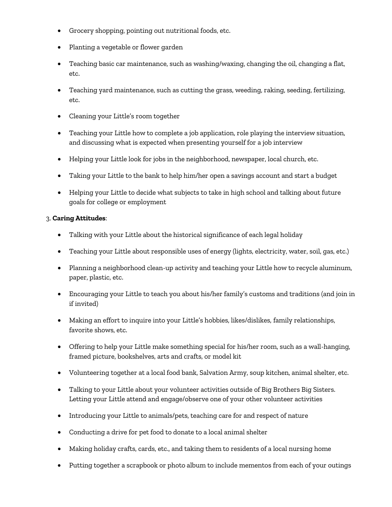- Grocery shopping, pointing out nutritional foods, etc.
- Planting a vegetable or flower garden
- Teaching basic car maintenance, such as washing/waxing, changing the oil, changing a flat, etc.
- Teaching yard maintenance, such as cutting the grass, weeding, raking, seeding, fertilizing, etc.
- Cleaning your Little's room together
- Teaching your Little how to complete a job application, role playing the interview situation, and discussing what is expected when presenting yourself for a job interview
- Helping your Little look for jobs in the neighborhood, newspaper, local church, etc.
- Taking your Little to the bank to help him/her open a savings account and start a budget
- Helping your Little to decide what subjects to take in high school and talking about future goals for college or employment

#### 3. **Caring Attitudes**:

- Talking with your Little about the historical significance of each legal holiday
- Teaching your Little about responsible uses of energy (lights, electricity, water, soil, gas, etc.)
- Planning a neighborhood clean-up activity and teaching your Little how to recycle aluminum, paper, plastic, etc.
- Encouraging your Little to teach you about his/her family's customs and traditions (and join in if invited)
- Making an effort to inquire into your Little's hobbies, likes/dislikes, family relationships, favorite shows, etc.
- Offering to help your Little make something special for his/her room, such as a wall-hanging, framed picture, bookshelves, arts and crafts, or model kit
- Volunteering together at a local food bank, Salvation Army, soup kitchen, animal shelter, etc.
- Talking to your Little about your volunteer activities outside of Big Brothers Big Sisters. Letting your Little attend and engage/observe one of your other volunteer activities
- Introducing your Little to animals/pets, teaching care for and respect of nature
- Conducting a drive for pet food to donate to a local animal shelter
- Making holiday crafts, cards, etc., and taking them to residents of a local nursing home
- Putting together a scrapbook or photo album to include mementos from each of your outings